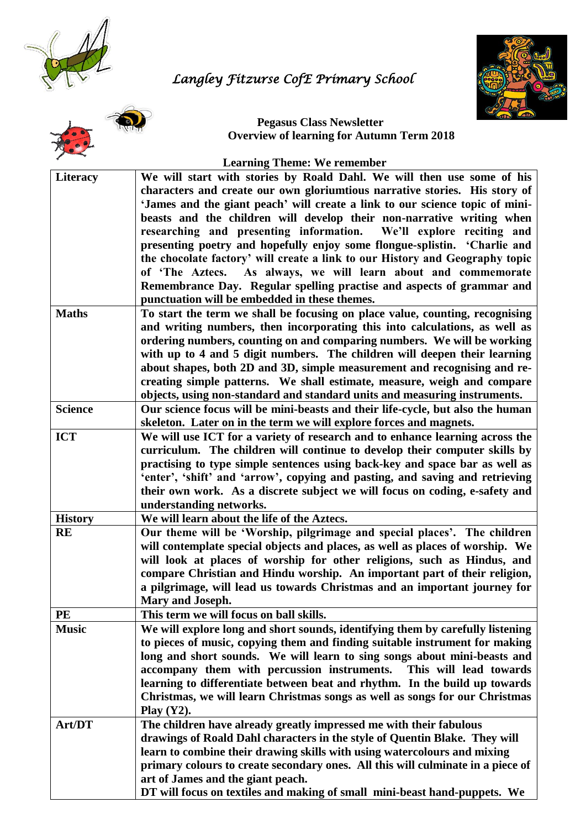

# *Langley Fitzurse CofE Primary School*





**Pegasus Class Newsletter Overview of learning for Autumn Term 2018**

| <b>Learning Theme: We remember</b> |
|------------------------------------|
|                                    |

| <b>Literacy</b> | We will start with stories by Roald Dahl. We will then use some of his<br>characters and create our own gloriumtious narrative stories. His story of |
|-----------------|------------------------------------------------------------------------------------------------------------------------------------------------------|
|                 | 'James and the giant peach' will create a link to our science topic of mini-                                                                         |
|                 |                                                                                                                                                      |
|                 | beasts and the children will develop their non-narrative writing when                                                                                |
|                 | researching and presenting information. We'll explore reciting and                                                                                   |
|                 | presenting poetry and hopefully enjoy some flongue-splistin. 'Charlie and                                                                            |
|                 | the chocolate factory' will create a link to our History and Geography topic                                                                         |
|                 | of 'The Aztecs. As always, we will learn about and commemorate                                                                                       |
|                 | Remembrance Day. Regular spelling practise and aspects of grammar and                                                                                |
|                 | punctuation will be embedded in these themes.                                                                                                        |
| <b>Maths</b>    | To start the term we shall be focusing on place value, counting, recognising                                                                         |
|                 | and writing numbers, then incorporating this into calculations, as well as                                                                           |
|                 | ordering numbers, counting on and comparing numbers. We will be working                                                                              |
|                 | with up to 4 and 5 digit numbers. The children will deepen their learning                                                                            |
|                 | about shapes, both 2D and 3D, simple measurement and recognising and re-                                                                             |
|                 | creating simple patterns. We shall estimate, measure, weigh and compare                                                                              |
|                 | objects, using non-standard and standard units and measuring instruments.                                                                            |
| <b>Science</b>  | Our science focus will be mini-beasts and their life-cycle, but also the human                                                                       |
|                 | skeleton. Later on in the term we will explore forces and magnets.                                                                                   |
| <b>ICT</b>      |                                                                                                                                                      |
|                 | We will use ICT for a variety of research and to enhance learning across the                                                                         |
|                 | curriculum. The children will continue to develop their computer skills by                                                                           |
|                 | practising to type simple sentences using back-key and space bar as well as                                                                          |
|                 | 'enter', 'shift' and 'arrow', copying and pasting, and saving and retrieving                                                                         |
|                 | their own work. As a discrete subject we will focus on coding, e-safety and                                                                          |
|                 | understanding networks.                                                                                                                              |
| <b>History</b>  | We will learn about the life of the Aztecs.                                                                                                          |
| <b>RE</b>       | Our theme will be 'Worship, pilgrimage and special places'. The children                                                                             |
|                 | will contemplate special objects and places, as well as places of worship. We                                                                        |
|                 | will look at places of worship for other religions, such as Hindus, and                                                                              |
|                 | compare Christian and Hindu worship. An important part of their religion,                                                                            |
|                 | a pilgrimage, will lead us towards Christmas and an important journey for                                                                            |
|                 | Mary and Joseph.                                                                                                                                     |
| PE              | This term we will focus on ball skills.                                                                                                              |
| <b>Music</b>    | We will explore long and short sounds, identifying them by carefully listening                                                                       |
|                 | to pieces of music, copying them and finding suitable instrument for making                                                                          |
|                 | long and short sounds. We will learn to sing songs about mini-beasts and                                                                             |
|                 | accompany them with percussion instruments.<br>This will lead towards                                                                                |
|                 | learning to differentiate between beat and rhythm. In the build up towards                                                                           |
|                 | Christmas, we will learn Christmas songs as well as songs for our Christmas                                                                          |
|                 | Play $(Y2)$ .                                                                                                                                        |
| Art/DT          | The children have already greatly impressed me with their fabulous                                                                                   |
|                 | drawings of Roald Dahl characters in the style of Quentin Blake. They will                                                                           |
|                 | learn to combine their drawing skills with using watercolours and mixing                                                                             |
|                 |                                                                                                                                                      |
|                 | primary colours to create secondary ones. All this will culminate in a piece of                                                                      |
|                 | art of James and the giant peach.                                                                                                                    |
|                 | DT will focus on textiles and making of small mini-beast hand-puppets. We                                                                            |